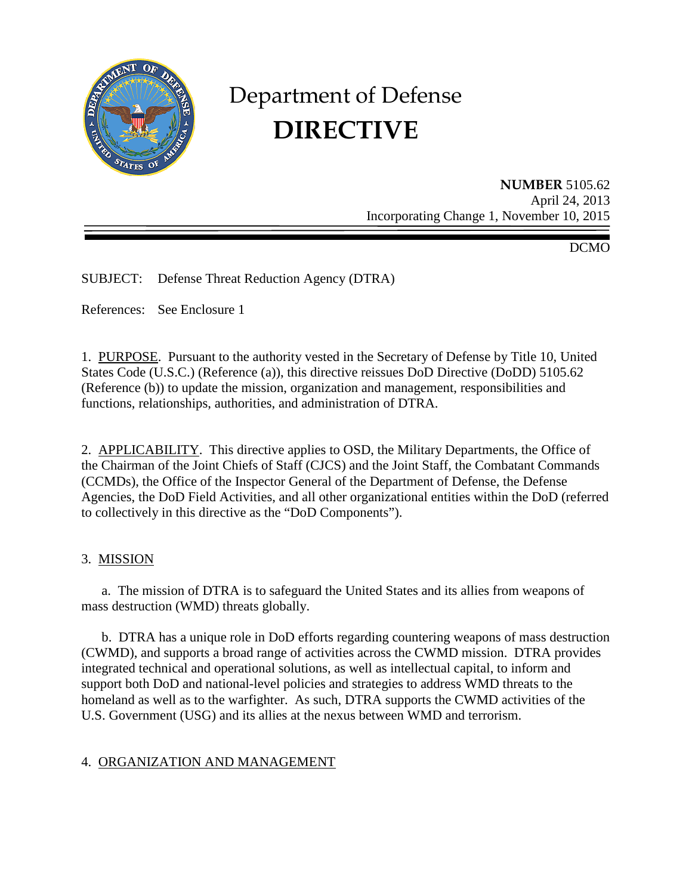

# Department of Defense **DIRECTIVE**

**NUMBER** 5105.62 April 24, 2013 Incorporating Change 1, November 10, 2015

DCMO

SUBJECT: Defense Threat Reduction Agency (DTRA)

References: See Enclosure 1

1. PURPOSE. Pursuant to the authority vested in the Secretary of Defense by Title 10, United States Code (U.S.C.) (Reference (a)), this directive reissues DoD Directive (DoDD) 5105.62 (Reference (b)) to update the mission, organization and management, responsibilities and functions, relationships, authorities, and administration of DTRA.

2. APPLICABILITY. This directive applies to OSD, the Military Departments, the Office of the Chairman of the Joint Chiefs of Staff (CJCS) and the Joint Staff, the Combatant Commands (CCMDs), the Office of the Inspector General of the Department of Defense, the Defense Agencies, the DoD Field Activities, and all other organizational entities within the DoD (referred to collectively in this directive as the "DoD Components").

#### 3. MISSION

a. The mission of DTRA is to safeguard the United States and its allies from weapons of mass destruction (WMD) threats globally.

 b. DTRA has a unique role in DoD efforts regarding countering weapons of mass destruction (CWMD), and supports a broad range of activities across the CWMD mission. DTRA provides integrated technical and operational solutions, as well as intellectual capital, to inform and support both DoD and national-level policies and strategies to address WMD threats to the homeland as well as to the warfighter. As such, DTRA supports the CWMD activities of the U.S. Government (USG) and its allies at the nexus between WMD and terrorism.

## 4. ORGANIZATION AND MANAGEMENT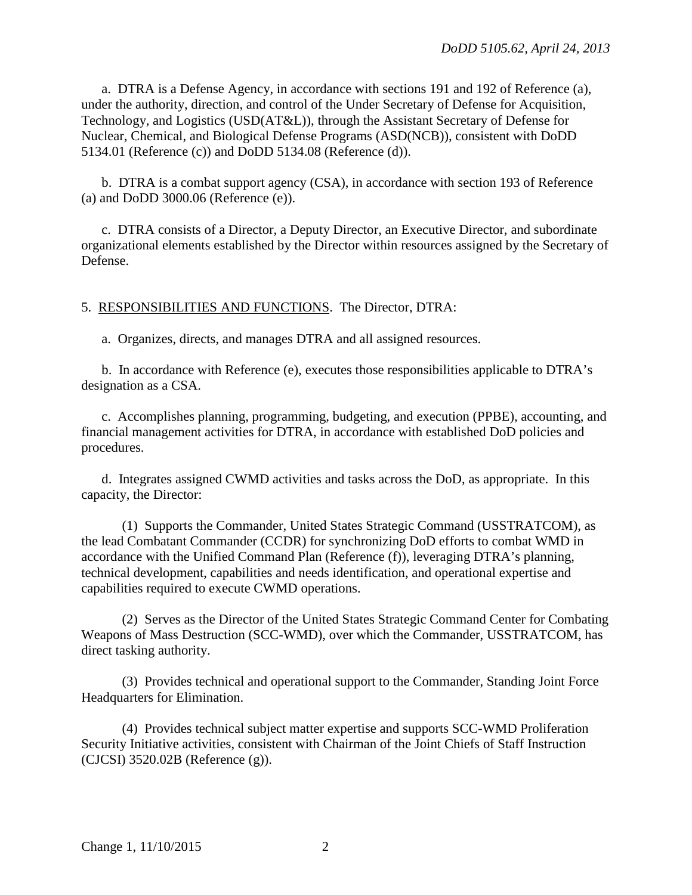a. DTRA is a Defense Agency, in accordance with sections 191 and 192 of Reference (a), under the authority, direction, and control of the Under Secretary of Defense for Acquisition, Technology, and Logistics (USD(AT&L)), through the Assistant Secretary of Defense for Nuclear, Chemical, and Biological Defense Programs (ASD(NCB)), consistent with DoDD 5134.01 (Reference (c)) and DoDD 5134.08 (Reference (d)).

 b. DTRA is a combat support agency (CSA), in accordance with section 193 of Reference (a) and DoDD 3000.06 (Reference (e)).

 c. DTRA consists of a Director, a Deputy Director, an Executive Director, and subordinate organizational elements established by the Director within resources assigned by the Secretary of Defense.

## 5. RESPONSIBILITIES AND FUNCTIONS. The Director, DTRA:

a. Organizes, directs, and manages DTRA and all assigned resources.

 b. In accordance with Reference (e), executes those responsibilities applicable to DTRA's designation as a CSA.

 c. Accomplishes planning, programming, budgeting, and execution (PPBE), accounting, and financial management activities for DTRA, in accordance with established DoD policies and procedures.

 d. Integrates assigned CWMD activities and tasks across the DoD, as appropriate. In this capacity, the Director:

 (1) Supports the Commander, United States Strategic Command (USSTRATCOM), as the lead Combatant Commander (CCDR) for synchronizing DoD efforts to combat WMD in accordance with the Unified Command Plan (Reference (f)), leveraging DTRA's planning, technical development, capabilities and needs identification, and operational expertise and capabilities required to execute CWMD operations.

 (2) Serves as the Director of the United States Strategic Command Center for Combating Weapons of Mass Destruction (SCC-WMD), over which the Commander, USSTRATCOM, has direct tasking authority.

 (3) Provides technical and operational support to the Commander, Standing Joint Force Headquarters for Elimination.

 (4) Provides technical subject matter expertise and supports SCC-WMD Proliferation Security Initiative activities, consistent with Chairman of the Joint Chiefs of Staff Instruction (CJCSI) 3520.02B (Reference (g)).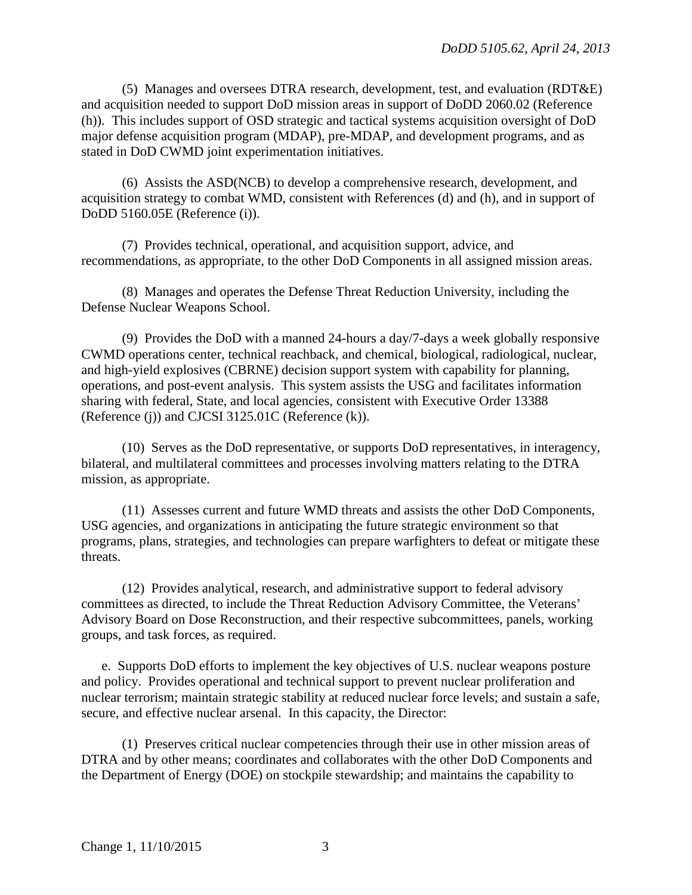(5) Manages and oversees DTRA research, development, test, and evaluation (RDT&E) and acquisition needed to support DoD mission areas in support of DoDD 2060.02 (Reference (h)). This includes support of OSD strategic and tactical systems acquisition oversight of DoD major defense acquisition program (MDAP), pre-MDAP, and development programs, and as stated in DoD CWMD joint experimentation initiatives.

 (6) Assists the ASD(NCB) to develop a comprehensive research, development, and acquisition strategy to combat WMD, consistent with References (d) and (h), and in support of DoDD 5160.05E (Reference (i)).

 (7) Provides technical, operational, and acquisition support, advice, and recommendations, as appropriate, to the other DoD Components in all assigned mission areas.

 (8) Manages and operates the Defense Threat Reduction University, including the Defense Nuclear Weapons School.

 (9) Provides the DoD with a manned 24-hours a day/7-days a week globally responsive CWMD operations center, technical reachback, and chemical, biological, radiological, nuclear, and high-yield explosives (CBRNE) decision support system with capability for planning, operations, and post-event analysis. This system assists the USG and facilitates information sharing with federal, State, and local agencies, consistent with Executive Order 13388 (Reference (j)) and CJCSI 3125.01C (Reference (k)).

 (10) Serves as the DoD representative, or supports DoD representatives, in interagency, bilateral, and multilateral committees and processes involving matters relating to the DTRA mission, as appropriate.

 (11) Assesses current and future WMD threats and assists the other DoD Components, USG agencies, and organizations in anticipating the future strategic environment so that programs, plans, strategies, and technologies can prepare warfighters to defeat or mitigate these threats.

 (12) Provides analytical, research, and administrative support to federal advisory committees as directed, to include the Threat Reduction Advisory Committee, the Veterans' Advisory Board on Dose Reconstruction, and their respective subcommittees, panels, working groups, and task forces, as required.

e. Supports DoD efforts to implement the key objectives of U.S. nuclear weapons posture and policy. Provides operational and technical support to prevent nuclear proliferation and nuclear terrorism; maintain strategic stability at reduced nuclear force levels; and sustain a safe, secure, and effective nuclear arsenal. In this capacity, the Director:

 (1) Preserves critical nuclear competencies through their use in other mission areas of DTRA and by other means; coordinates and collaborates with the other DoD Components and the Department of Energy (DOE) on stockpile stewardship; and maintains the capability to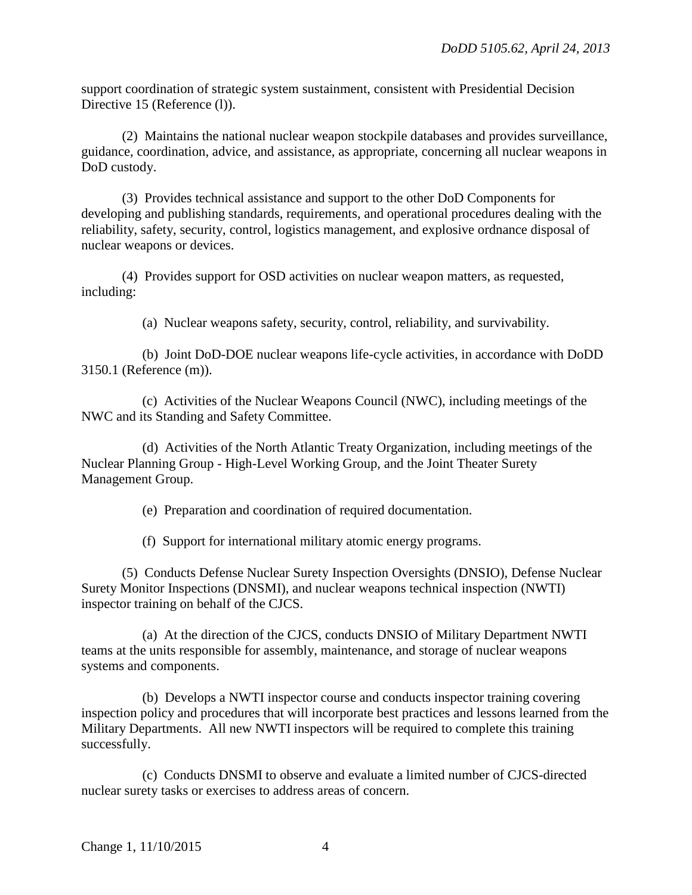support coordination of strategic system sustainment, consistent with Presidential Decision Directive 15 (Reference (1)).

 (2) Maintains the national nuclear weapon stockpile databases and provides surveillance, guidance, coordination, advice, and assistance, as appropriate, concerning all nuclear weapons in DoD custody.

 (3) Provides technical assistance and support to the other DoD Components for developing and publishing standards, requirements, and operational procedures dealing with the reliability, safety, security, control, logistics management, and explosive ordnance disposal of nuclear weapons or devices.

 (4) Provides support for OSD activities on nuclear weapon matters, as requested, including:

(a) Nuclear weapons safety, security, control, reliability, and survivability.

 (b) Joint DoD-DOE nuclear weapons life-cycle activities, in accordance with DoDD 3150.1 (Reference (m)).

 (c) Activities of the Nuclear Weapons Council (NWC), including meetings of the NWC and its Standing and Safety Committee.

 (d) Activities of the North Atlantic Treaty Organization, including meetings of the Nuclear Planning Group - High-Level Working Group, and the Joint Theater Surety Management Group.

(e) Preparation and coordination of required documentation.

(f) Support for international military atomic energy programs.

 (5) Conducts Defense Nuclear Surety Inspection Oversights (DNSIO), Defense Nuclear Surety Monitor Inspections (DNSMI), and nuclear weapons technical inspection (NWTI) inspector training on behalf of the CJCS.

 (a) At the direction of the CJCS, conducts DNSIO of Military Department NWTI teams at the units responsible for assembly, maintenance, and storage of nuclear weapons systems and components.

 (b) Develops a NWTI inspector course and conducts inspector training covering inspection policy and procedures that will incorporate best practices and lessons learned from the Military Departments. All new NWTI inspectors will be required to complete this training successfully.

 (c) Conducts DNSMI to observe and evaluate a limited number of CJCS-directed nuclear surety tasks or exercises to address areas of concern.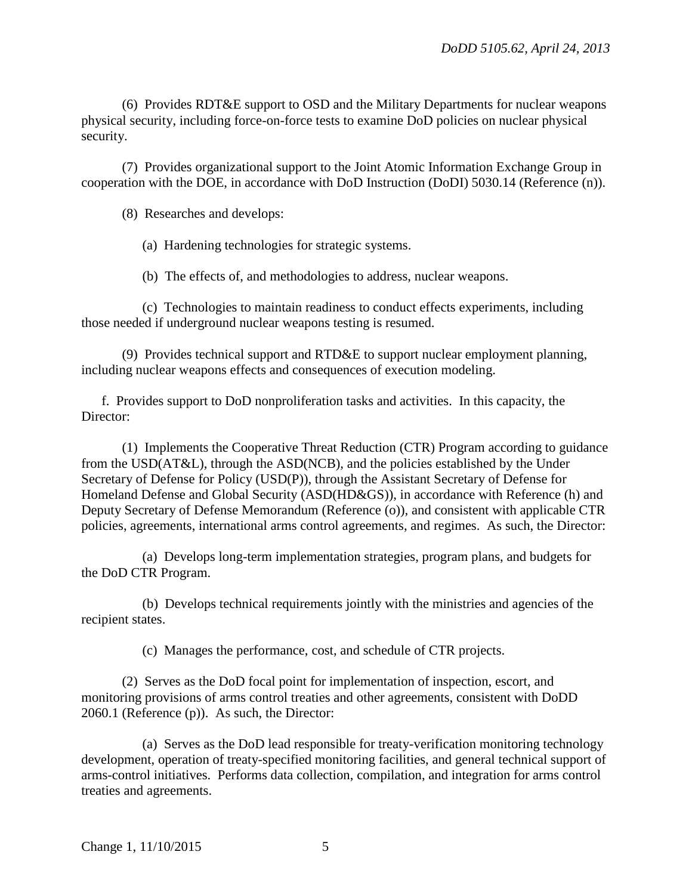(6) Provides RDT&E support to OSD and the Military Departments for nuclear weapons physical security, including force-on-force tests to examine DoD policies on nuclear physical security.

 (7) Provides organizational support to the Joint Atomic Information Exchange Group in cooperation with the DOE, in accordance with DoD Instruction (DoDI) 5030.14 (Reference (n)).

(8) Researches and develops:

(a) Hardening technologies for strategic systems.

(b) The effects of, and methodologies to address, nuclear weapons.

 (c) Technologies to maintain readiness to conduct effects experiments, including those needed if underground nuclear weapons testing is resumed.

 (9) Provides technical support and RTD&E to support nuclear employment planning, including nuclear weapons effects and consequences of execution modeling.

 f. Provides support to DoD nonproliferation tasks and activities. In this capacity, the Director:

 (1) Implements the Cooperative Threat Reduction (CTR) Program according to guidance from the USD(AT&L), through the ASD(NCB), and the policies established by the Under Secretary of Defense for Policy (USD(P)), through the Assistant Secretary of Defense for Homeland Defense and Global Security (ASD(HD&GS)), in accordance with Reference (h) and Deputy Secretary of Defense Memorandum (Reference (o)), and consistent with applicable CTR policies, agreements, international arms control agreements, and regimes. As such, the Director:

 (a) Develops long-term implementation strategies, program plans, and budgets for the DoD CTR Program.

 (b) Develops technical requirements jointly with the ministries and agencies of the recipient states.

(c) Manages the performance, cost, and schedule of CTR projects.

 (2) Serves as the DoD focal point for implementation of inspection, escort, and monitoring provisions of arms control treaties and other agreements, consistent with DoDD 2060.1 (Reference (p)). As such, the Director:

 (a) Serves as the DoD lead responsible for treaty-verification monitoring technology development, operation of treaty-specified monitoring facilities, and general technical support of arms-control initiatives. Performs data collection, compilation, and integration for arms control treaties and agreements.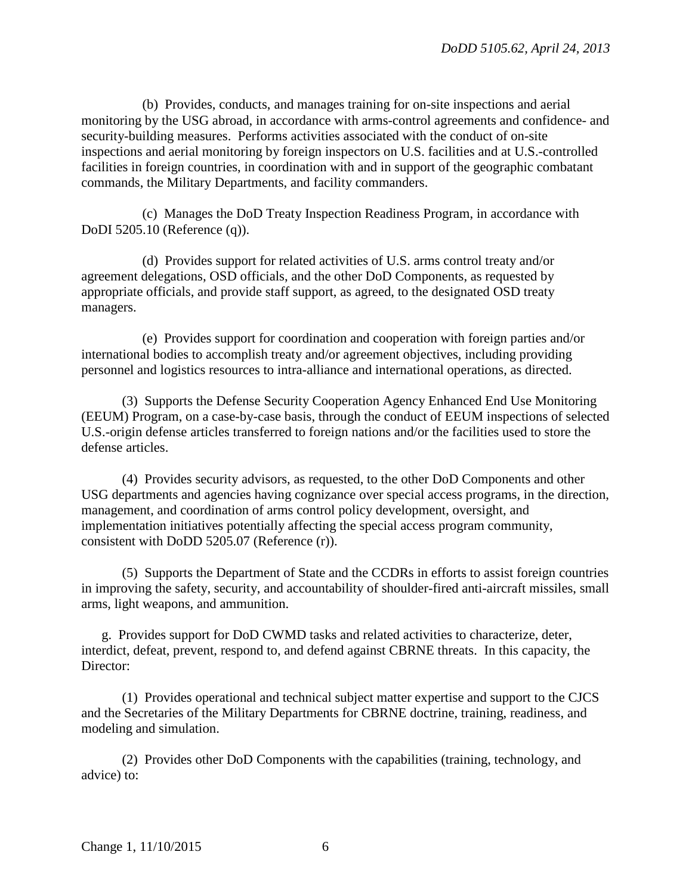(b) Provides, conducts, and manages training for on-site inspections and aerial monitoring by the USG abroad, in accordance with arms-control agreements and confidence- and security-building measures. Performs activities associated with the conduct of on-site inspections and aerial monitoring by foreign inspectors on U.S. facilities and at U.S.-controlled facilities in foreign countries, in coordination with and in support of the geographic combatant commands, the Military Departments, and facility commanders.

 (c) Manages the DoD Treaty Inspection Readiness Program, in accordance with DoDI 5205.10 (Reference (q)).

 (d) Provides support for related activities of U.S. arms control treaty and/or agreement delegations, OSD officials, and the other DoD Components, as requested by appropriate officials, and provide staff support, as agreed, to the designated OSD treaty managers.

 (e) Provides support for coordination and cooperation with foreign parties and/or international bodies to accomplish treaty and/or agreement objectives, including providing personnel and logistics resources to intra-alliance and international operations, as directed.

 (3) Supports the Defense Security Cooperation Agency Enhanced End Use Monitoring (EEUM) Program, on a case-by-case basis, through the conduct of EEUM inspections of selected U.S.-origin defense articles transferred to foreign nations and/or the facilities used to store the defense articles.

 (4) Provides security advisors, as requested, to the other DoD Components and other USG departments and agencies having cognizance over special access programs, in the direction, management, and coordination of arms control policy development, oversight, and implementation initiatives potentially affecting the special access program community, consistent with DoDD 5205.07 (Reference (r)).

 (5) Supports the Department of State and the CCDRs in efforts to assist foreign countries in improving the safety, security, and accountability of shoulder-fired anti-aircraft missiles, small arms, light weapons, and ammunition.

 g. Provides support for DoD CWMD tasks and related activities to characterize, deter, interdict, defeat, prevent, respond to, and defend against CBRNE threats. In this capacity, the Director:

 (1) Provides operational and technical subject matter expertise and support to the CJCS and the Secretaries of the Military Departments for CBRNE doctrine, training, readiness, and modeling and simulation.

 (2) Provides other DoD Components with the capabilities (training, technology, and advice) to: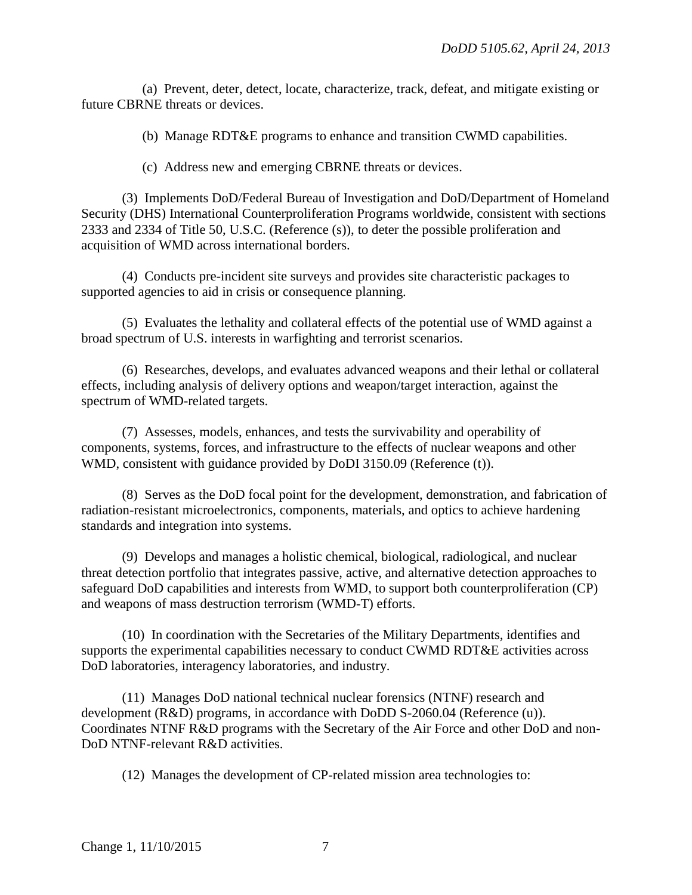(a) Prevent, deter, detect, locate, characterize, track, defeat, and mitigate existing or future CBRNE threats or devices.

(b) Manage RDT&E programs to enhance and transition CWMD capabilities.

(c) Address new and emerging CBRNE threats or devices.

 (3) Implements DoD/Federal Bureau of Investigation and DoD/Department of Homeland Security (DHS) International Counterproliferation Programs worldwide, consistent with sections 2333 and 2334 of Title 50, U.S.C. (Reference (s)), to deter the possible proliferation and acquisition of WMD across international borders.

 (4) Conducts pre-incident site surveys and provides site characteristic packages to supported agencies to aid in crisis or consequence planning.

 (5) Evaluates the lethality and collateral effects of the potential use of WMD against a broad spectrum of U.S. interests in warfighting and terrorist scenarios.

 (6) Researches, develops, and evaluates advanced weapons and their lethal or collateral effects, including analysis of delivery options and weapon/target interaction, against the spectrum of WMD-related targets.

 (7) Assesses, models, enhances, and tests the survivability and operability of components, systems, forces, and infrastructure to the effects of nuclear weapons and other WMD, consistent with guidance provided by DoDI 3150.09 (Reference (t)).

 (8) Serves as the DoD focal point for the development, demonstration, and fabrication of radiation-resistant microelectronics, components, materials, and optics to achieve hardening standards and integration into systems.

 (9) Develops and manages a holistic chemical, biological, radiological, and nuclear threat detection portfolio that integrates passive, active, and alternative detection approaches to safeguard DoD capabilities and interests from WMD, to support both counterproliferation (CP) and weapons of mass destruction terrorism (WMD-T) efforts.

 (10) In coordination with the Secretaries of the Military Departments, identifies and supports the experimental capabilities necessary to conduct CWMD RDT&E activities across DoD laboratories, interagency laboratories, and industry.

 (11) Manages DoD national technical nuclear forensics (NTNF) research and development (R&D) programs, in accordance with DoDD S-2060.04 (Reference (u)). Coordinates NTNF R&D programs with the Secretary of the Air Force and other DoD and non-DoD NTNF-relevant R&D activities.

(12) Manages the development of CP-related mission area technologies to: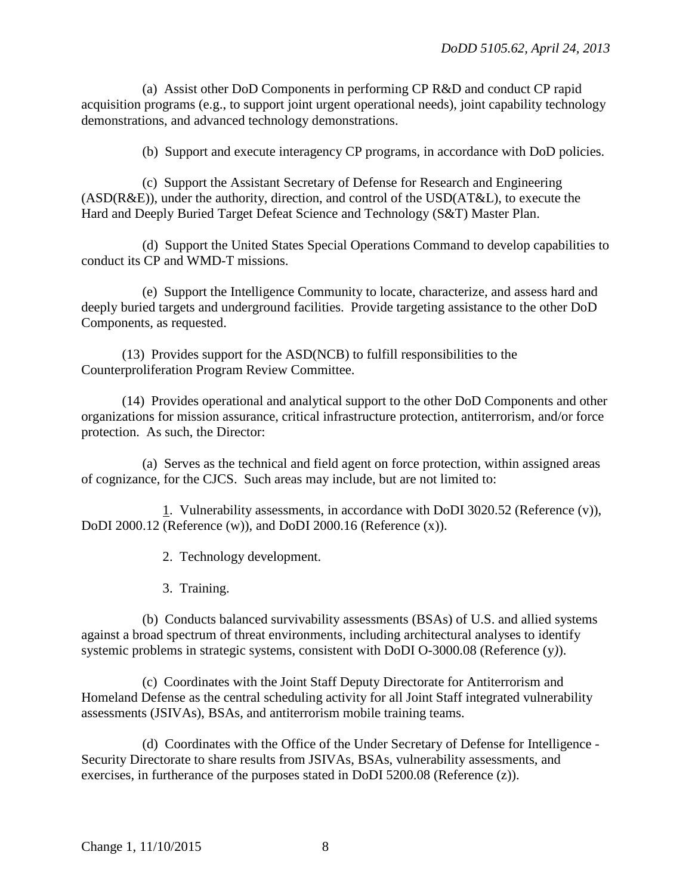(a) Assist other DoD Components in performing CP R&D and conduct CP rapid acquisition programs (e.g., to support joint urgent operational needs), joint capability technology demonstrations, and advanced technology demonstrations.

(b) Support and execute interagency CP programs, in accordance with DoD policies.

 (c) Support the Assistant Secretary of Defense for Research and Engineering (ASD(R&E)), under the authority, direction, and control of the USD(AT&L), to execute the Hard and Deeply Buried Target Defeat Science and Technology (S&T) Master Plan.

 (d) Support the United States Special Operations Command to develop capabilities to conduct its CP and WMD-T missions.

 (e) Support the Intelligence Community to locate, characterize, and assess hard and deeply buried targets and underground facilities. Provide targeting assistance to the other DoD Components, as requested.

 (13) Provides support for the ASD(NCB) to fulfill responsibilities to the Counterproliferation Program Review Committee.

 (14) Provides operational and analytical support to the other DoD Components and other organizations for mission assurance, critical infrastructure protection, antiterrorism, and/or force protection. As such, the Director:

 (a) Serves as the technical and field agent on force protection, within assigned areas of cognizance, for the CJCS. Such areas may include, but are not limited to:

 1. Vulnerability assessments, in accordance with DoDI 3020.52 (Reference (v)), DoDI 2000.12 (Reference (w)), and DoDI 2000.16 (Reference (x)).

2. Technology development.

3. Training.

 (b) Conducts balanced survivability assessments (BSAs) of U.S. and allied systems against a broad spectrum of threat environments, including architectural analyses to identify systemic problems in strategic systems, consistent with DoDI O-3000.08 (Reference (y*)*).

 (c) Coordinates with the Joint Staff Deputy Directorate for Antiterrorism and Homeland Defense as the central scheduling activity for all Joint Staff integrated vulnerability assessments (JSIVAs), BSAs, and antiterrorism mobile training teams.

 (d) Coordinates with the Office of the Under Secretary of Defense for Intelligence - Security Directorate to share results from JSIVAs, BSAs, vulnerability assessments, and exercises, in furtherance of the purposes stated in DoDI 5200.08 (Reference (z)).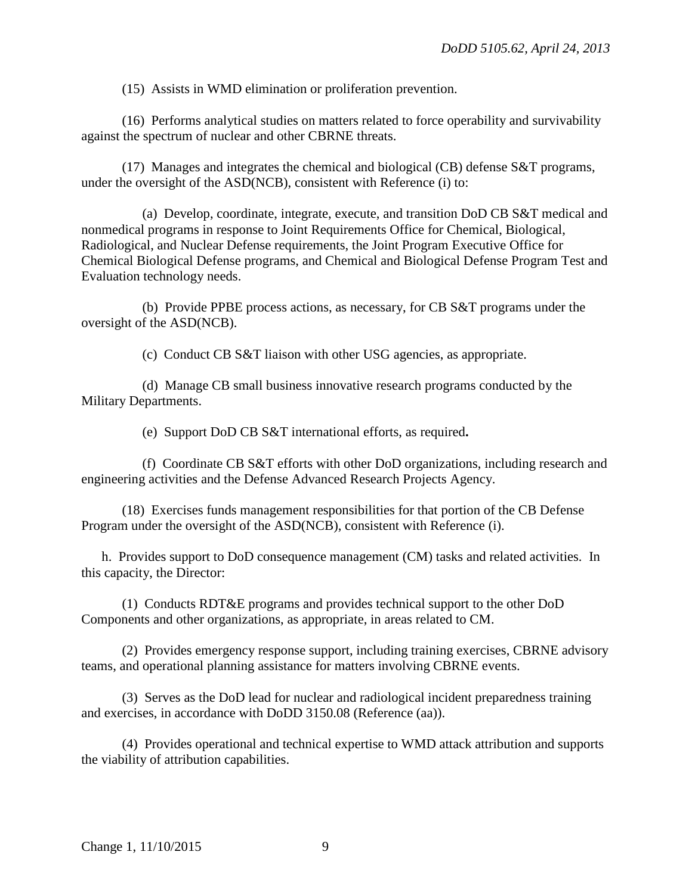(15) Assists in WMD elimination or proliferation prevention.

 (16) Performs analytical studies on matters related to force operability and survivability against the spectrum of nuclear and other CBRNE threats.

 (17) Manages and integrates the chemical and biological (CB) defense S&T programs, under the oversight of the ASD(NCB), consistent with Reference (i) to:

 (a) Develop, coordinate, integrate, execute, and transition DoD CB S&T medical and nonmedical programs in response to Joint Requirements Office for Chemical, Biological, Radiological, and Nuclear Defense requirements, the Joint Program Executive Office for Chemical Biological Defense programs, and Chemical and Biological Defense Program Test and Evaluation technology needs.

 (b) Provide PPBE process actions, as necessary, for CB S&T programs under the oversight of the ASD(NCB).

(c) Conduct CB S&T liaison with other USG agencies, as appropriate.

 (d) Manage CB small business innovative research programs conducted by the Military Departments.

(e) Support DoD CB S&T international efforts, as required**.** 

 (f) Coordinate CB S&T efforts with other DoD organizations, including research and engineering activities and the Defense Advanced Research Projects Agency.

 (18) Exercises funds management responsibilities for that portion of the CB Defense Program under the oversight of the ASD(NCB), consistent with Reference (i).

 h. Provides support to DoD consequence management (CM) tasks and related activities. In this capacity, the Director:

 (1) Conducts RDT&E programs and provides technical support to the other DoD Components and other organizations, as appropriate, in areas related to CM.

 (2) Provides emergency response support, including training exercises, CBRNE advisory teams, and operational planning assistance for matters involving CBRNE events.

 (3) Serves as the DoD lead for nuclear and radiological incident preparedness training and exercises, in accordance with DoDD 3150.08 (Reference (aa)).

 (4) Provides operational and technical expertise to WMD attack attribution and supports the viability of attribution capabilities.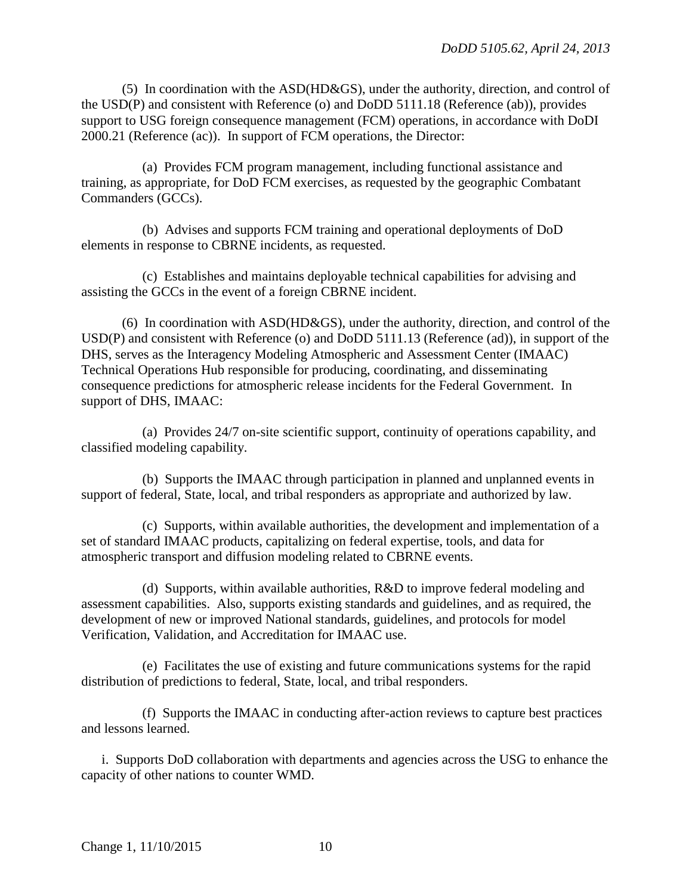(5) In coordination with the ASD(HD&GS), under the authority, direction, and control of the USD(P) and consistent with Reference (o) and DoDD 5111.18 (Reference (ab)), provides support to USG foreign consequence management (FCM) operations, in accordance with DoDI 2000.21 (Reference (ac)). In support of FCM operations, the Director:

 (a) Provides FCM program management, including functional assistance and training, as appropriate, for DoD FCM exercises, as requested by the geographic Combatant Commanders (GCCs).

 (b) Advises and supports FCM training and operational deployments of DoD elements in response to CBRNE incidents, as requested.

 (c) Establishes and maintains deployable technical capabilities for advising and assisting the GCCs in the event of a foreign CBRNE incident.

 (6) In coordination with ASD(HD&GS), under the authority, direction, and control of the USD(P) and consistent with Reference (o) and DoDD 5111.13 (Reference (ad)), in support of the DHS, serves as the Interagency Modeling Atmospheric and Assessment Center (IMAAC) Technical Operations Hub responsible for producing, coordinating, and disseminating consequence predictions for atmospheric release incidents for the Federal Government. In support of DHS, IMAAC:

 (a) Provides 24/7 on-site scientific support, continuity of operations capability, and classified modeling capability.

 (b) Supports the IMAAC through participation in planned and unplanned events in support of federal, State, local, and tribal responders as appropriate and authorized by law.

 (c) Supports, within available authorities, the development and implementation of a set of standard IMAAC products, capitalizing on federal expertise, tools, and data for atmospheric transport and diffusion modeling related to CBRNE events.

 (d) Supports, within available authorities, R&D to improve federal modeling and assessment capabilities. Also, supports existing standards and guidelines, and as required, the development of new or improved National standards, guidelines, and protocols for model Verification, Validation, and Accreditation for IMAAC use.

 (e) Facilitates the use of existing and future communications systems for the rapid distribution of predictions to federal, State, local, and tribal responders.

 (f) Supports the IMAAC in conducting after-action reviews to capture best practices and lessons learned.

 i. Supports DoD collaboration with departments and agencies across the USG to enhance the capacity of other nations to counter WMD.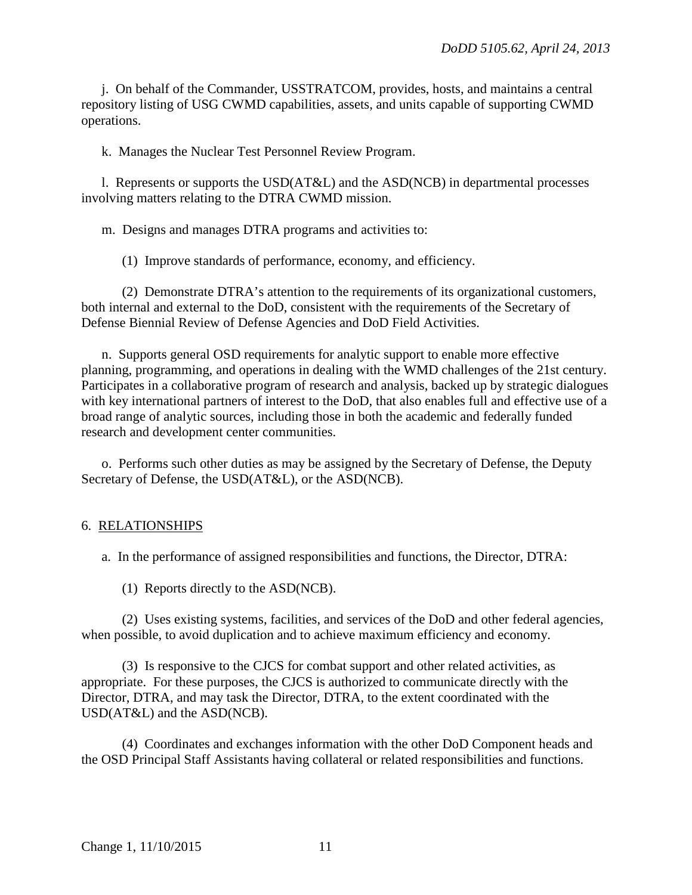j. On behalf of the Commander, USSTRATCOM, provides, hosts, and maintains a central repository listing of USG CWMD capabilities, assets, and units capable of supporting CWMD operations.

k. Manages the Nuclear Test Personnel Review Program.

 l. Represents or supports the USD(AT&L) and the ASD(NCB) in departmental processes involving matters relating to the DTRA CWMD mission.

m. Designs and manages DTRA programs and activities to:

(1) Improve standards of performance, economy, and efficiency.

 (2) Demonstrate DTRA's attention to the requirements of its organizational customers, both internal and external to the DoD, consistent with the requirements of the Secretary of Defense Biennial Review of Defense Agencies and DoD Field Activities.

 n. Supports general OSD requirements for analytic support to enable more effective planning, programming, and operations in dealing with the WMD challenges of the 21st century. Participates in a collaborative program of research and analysis, backed up by strategic dialogues with key international partners of interest to the DoD, that also enables full and effective use of a broad range of analytic sources, including those in both the academic and federally funded research and development center communities.

 o. Performs such other duties as may be assigned by the Secretary of Defense, the Deputy Secretary of Defense, the USD(AT&L), or the ASD(NCB).

## 6. RELATIONSHIPS

a. In the performance of assigned responsibilities and functions, the Director, DTRA:

(1) Reports directly to the ASD(NCB).

 (2) Uses existing systems, facilities, and services of the DoD and other federal agencies, when possible, to avoid duplication and to achieve maximum efficiency and economy.

 (3) Is responsive to the CJCS for combat support and other related activities, as appropriate. For these purposes, the CJCS is authorized to communicate directly with the Director, DTRA, and may task the Director, DTRA, to the extent coordinated with the USD(AT&L) and the ASD(NCB).

 (4) Coordinates and exchanges information with the other DoD Component heads and the OSD Principal Staff Assistants having collateral or related responsibilities and functions.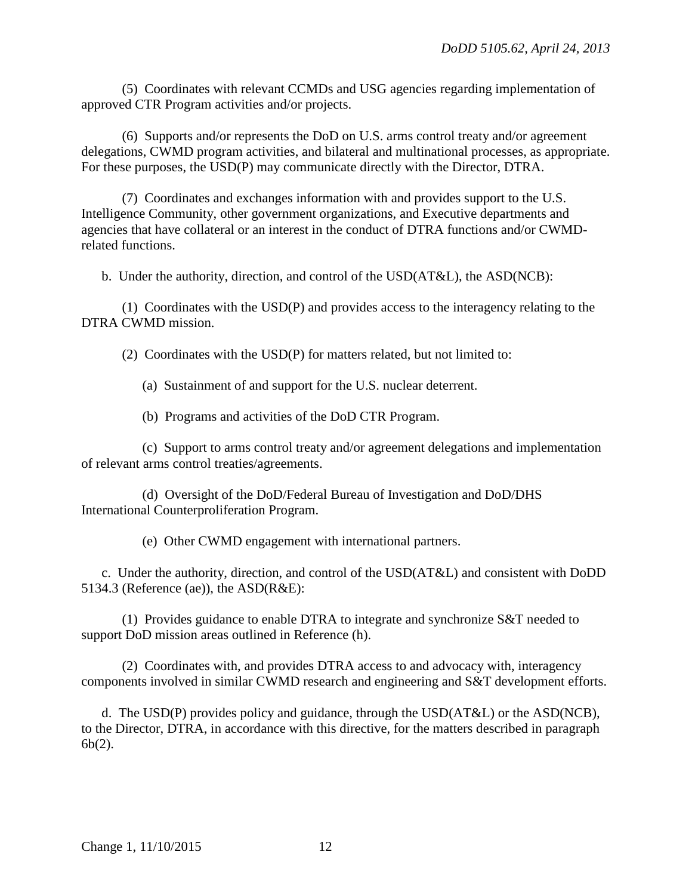(5) Coordinates with relevant CCMDs and USG agencies regarding implementation of approved CTR Program activities and/or projects.

 (6) Supports and/or represents the DoD on U.S. arms control treaty and/or agreement delegations, CWMD program activities, and bilateral and multinational processes, as appropriate. For these purposes, the USD(P) may communicate directly with the Director, DTRA.

 (7) Coordinates and exchanges information with and provides support to the U.S. Intelligence Community, other government organizations, and Executive departments and agencies that have collateral or an interest in the conduct of DTRA functions and/or CWMDrelated functions.

b. Under the authority, direction, and control of the USD(AT&L), the ASD(NCB):

 (1) Coordinates with the USD(P) and provides access to the interagency relating to the DTRA CWMD mission.

(2) Coordinates with the USD(P) for matters related, but not limited to:

(a) Sustainment of and support for the U.S. nuclear deterrent.

(b) Programs and activities of the DoD CTR Program.

 (c) Support to arms control treaty and/or agreement delegations and implementation of relevant arms control treaties/agreements.

 (d) Oversight of the DoD/Federal Bureau of Investigation and DoD/DHS International Counterproliferation Program.

(e) Other CWMD engagement with international partners.

c. Under the authority, direction, and control of the USD(AT&L) and consistent with DoDD 5134.3 (Reference (ae)), the ASD(R&E):

 (1) Provides guidance to enable DTRA to integrate and synchronize S&T needed to support DoD mission areas outlined in Reference (h).

 (2) Coordinates with, and provides DTRA access to and advocacy with, interagency components involved in similar CWMD research and engineering and S&T development efforts.

d. The USD(P) provides policy and guidance, through the USD( $AT&L$ ) or the ASD(NCB), to the Director, DTRA, in accordance with this directive, for the matters described in paragraph 6b(2).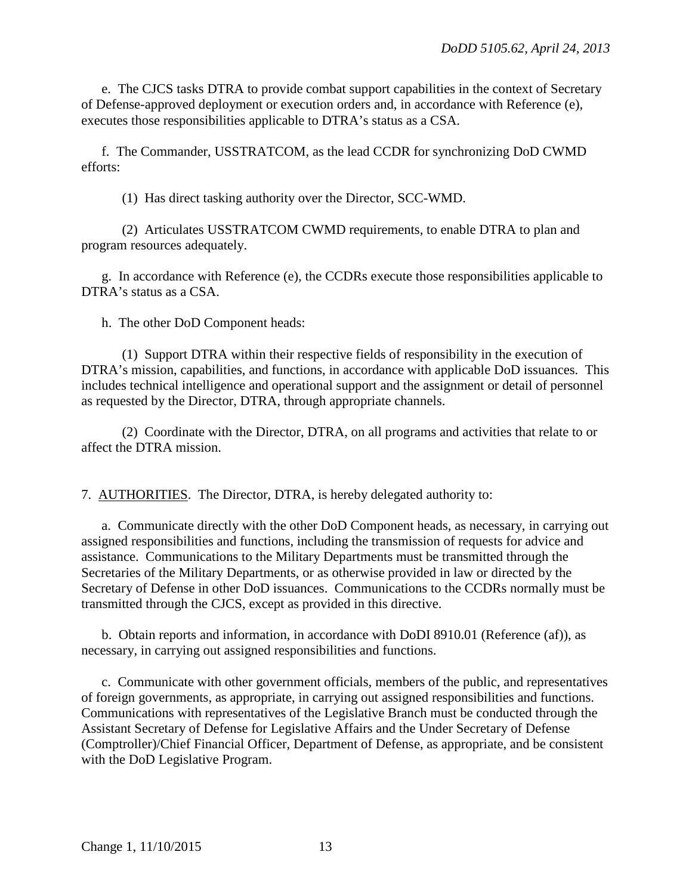e. The CJCS tasks DTRA to provide combat support capabilities in the context of Secretary of Defense-approved deployment or execution orders and, in accordance with Reference (e), executes those responsibilities applicable to DTRA's status as a CSA.

 f. The Commander, USSTRATCOM, as the lead CCDR for synchronizing DoD CWMD efforts:

(1) Has direct tasking authority over the Director, SCC-WMD.

 (2) Articulates USSTRATCOM CWMD requirements, to enable DTRA to plan and program resources adequately.

 g. In accordance with Reference (e), the CCDRs execute those responsibilities applicable to DTRA's status as a CSA.

h. The other DoD Component heads:

 (1) Support DTRA within their respective fields of responsibility in the execution of DTRA's mission, capabilities, and functions, in accordance with applicable DoD issuances. This includes technical intelligence and operational support and the assignment or detail of personnel as requested by the Director, DTRA, through appropriate channels.

 (2) Coordinate with the Director, DTRA, on all programs and activities that relate to or affect the DTRA mission.

7. AUTHORITIES. The Director, DTRA, is hereby delegated authority to:

a. Communicate directly with the other DoD Component heads, as necessary, in carrying out assigned responsibilities and functions, including the transmission of requests for advice and assistance. Communications to the Military Departments must be transmitted through the Secretaries of the Military Departments, or as otherwise provided in law or directed by the Secretary of Defense in other DoD issuances. Communications to the CCDRs normally must be transmitted through the CJCS, except as provided in this directive.

 b. Obtain reports and information, in accordance with DoDI 8910.01 (Reference (af)), as necessary, in carrying out assigned responsibilities and functions.

c. Communicate with other government officials, members of the public, and representatives of foreign governments, as appropriate, in carrying out assigned responsibilities and functions. Communications with representatives of the Legislative Branch must be conducted through the Assistant Secretary of Defense for Legislative Affairs and the Under Secretary of Defense (Comptroller)/Chief Financial Officer, Department of Defense, as appropriate, and be consistent with the DoD Legislative Program.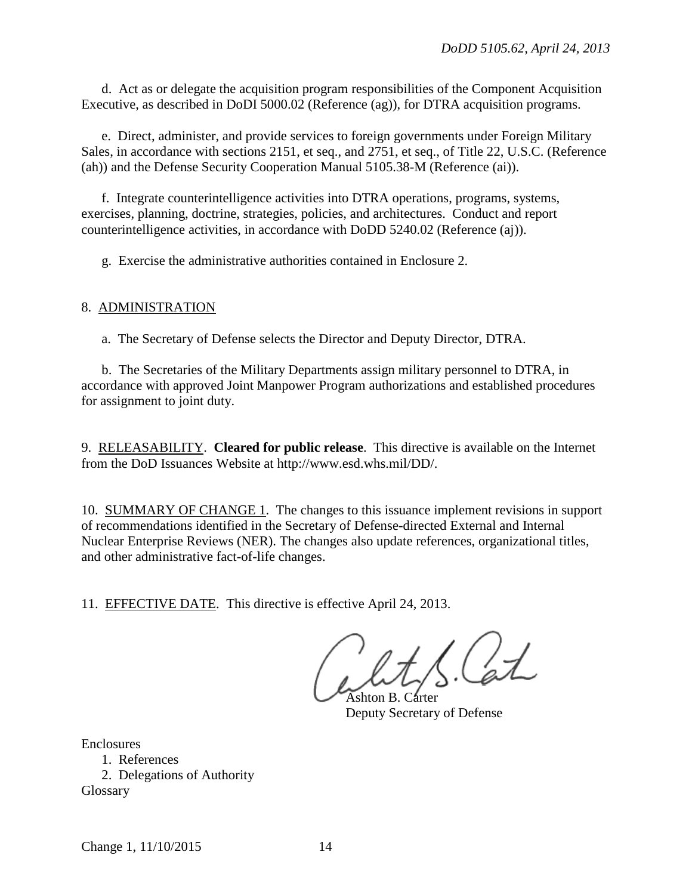d. Act as or delegate the acquisition program responsibilities of the Component Acquisition Executive, as described in DoDI 5000.02 (Reference (ag)), for DTRA acquisition programs.

 e. Direct, administer, and provide services to foreign governments under Foreign Military Sales, in accordance with sections 2151, et seq., and 2751, et seq., of Title 22, U.S.C. (Reference (ah)) and the Defense Security Cooperation Manual 5105.38-M (Reference (ai)).

 f. Integrate counterintelligence activities into DTRA operations, programs, systems, exercises, planning, doctrine, strategies, policies, and architectures. Conduct and report counterintelligence activities, in accordance with DoDD 5240.02 (Reference (aj)).

g. Exercise the administrative authorities contained in Enclosure 2.

## 8. ADMINISTRATION

a. The Secretary of Defense selects the Director and Deputy Director, DTRA.

 b. The Secretaries of the Military Departments assign military personnel to DTRA, in accordance with approved Joint Manpower Program authorizations and established procedures for assignment to joint duty.

9. RELEASABILITY. **Cleared for public release**. This directive is available on the Internet from the DoD Issuances Website at http://www.esd.whs.mil/DD/.

10. SUMMARY OF CHANGE 1. The changes to this issuance implement revisions in support of recommendations identified in the Secretary of Defense-directed External and Internal Nuclear Enterprise Reviews (NER). The changes also update references, organizational titles, and other administrative fact-of-life changes.

11. EFFECTIVE DATE. This directive is effective April 24, 2013.

Ashton B. Carter Deputy Secretary of Defense

Enclosures

 1. References 2. Delegations of Authority

Glossary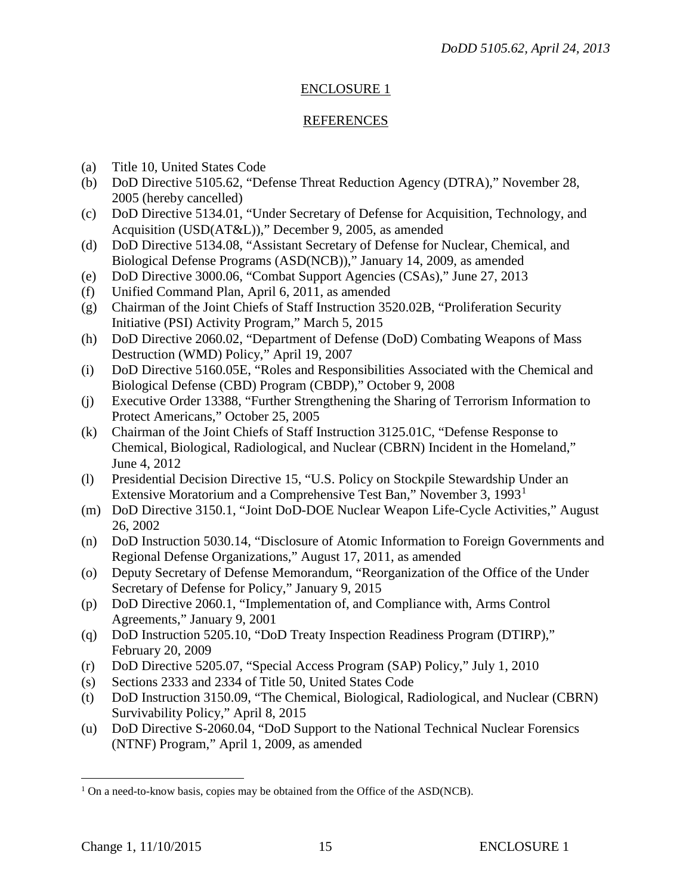## ENCLOSURE 1

## REFERENCES

- (a) Title 10, United States Code
- (b) DoD Directive 5105.62, "Defense Threat Reduction Agency (DTRA)," November 28, 2005 (hereby cancelled)
- (c) DoD Directive 5134.01, "Under Secretary of Defense for Acquisition, Technology, and Acquisition (USD(AT&L))," December 9, 2005, as amended
- (d) DoD Directive 5134.08, "Assistant Secretary of Defense for Nuclear, Chemical, and Biological Defense Programs (ASD(NCB))," January 14, 2009, as amended
- (e) DoD Directive 3000.06, "Combat Support Agencies (CSAs)," June 27, 2013
- (f) Unified Command Plan, April 6, 2011, as amended
- (g) Chairman of the Joint Chiefs of Staff Instruction 3520.02B, "Proliferation Security Initiative (PSI) Activity Program," March 5, 2015
- (h) DoD Directive 2060.02, "Department of Defense (DoD) Combating Weapons of Mass Destruction (WMD) Policy," April 19, 2007
- (i) DoD Directive 5160.05E, "Roles and Responsibilities Associated with the Chemical and Biological Defense (CBD) Program (CBDP)," October 9, 2008
- (j) Executive Order 13388, "Further Strengthening the Sharing of Terrorism Information to Protect Americans," October 25, 2005
- (k) Chairman of the Joint Chiefs of Staff Instruction 3125.01C, "Defense Response to Chemical, Biological, Radiological, and Nuclear (CBRN) Incident in the Homeland," June 4, 2012
- (l) Presidential Decision Directive 15, "U.S. Policy on Stockpile Stewardship Under an Extensive Moratorium and a Comprehensive Test Ban," November 3, 1993[1](#page-14-0)
- (m) DoD Directive 3150.1, "Joint DoD-DOE Nuclear Weapon Life-Cycle Activities," August 26, 2002
- (n) DoD Instruction 5030.14, "Disclosure of Atomic Information to Foreign Governments and Regional Defense Organizations," August 17, 2011, as amended
- (o) Deputy Secretary of Defense Memorandum, "Reorganization of the Office of the Under Secretary of Defense for Policy," January 9, 2015
- (p) DoD Directive 2060.1, "Implementation of, and Compliance with, Arms Control Agreements," January 9, 2001
- (q) DoD Instruction 5205.10, "DoD Treaty Inspection Readiness Program (DTIRP)," February 20, 2009
- (r) DoD Directive 5205.07, "Special Access Program (SAP) Policy," July 1, 2010
- (s) Sections 2333 and 2334 of Title 50, United States Code
- (t) DoD Instruction 3150.09, "The Chemical, Biological, Radiological, and Nuclear (CBRN) Survivability Policy," April 8, 2015
- (u) DoD Directive S-2060.04, "DoD Support to the National Technical Nuclear Forensics (NTNF) Program," April 1, 2009, as amended

 $\overline{a}$ 

<span id="page-14-0"></span> $1$  On a need-to-know basis, copies may be obtained from the Office of the ASD(NCB).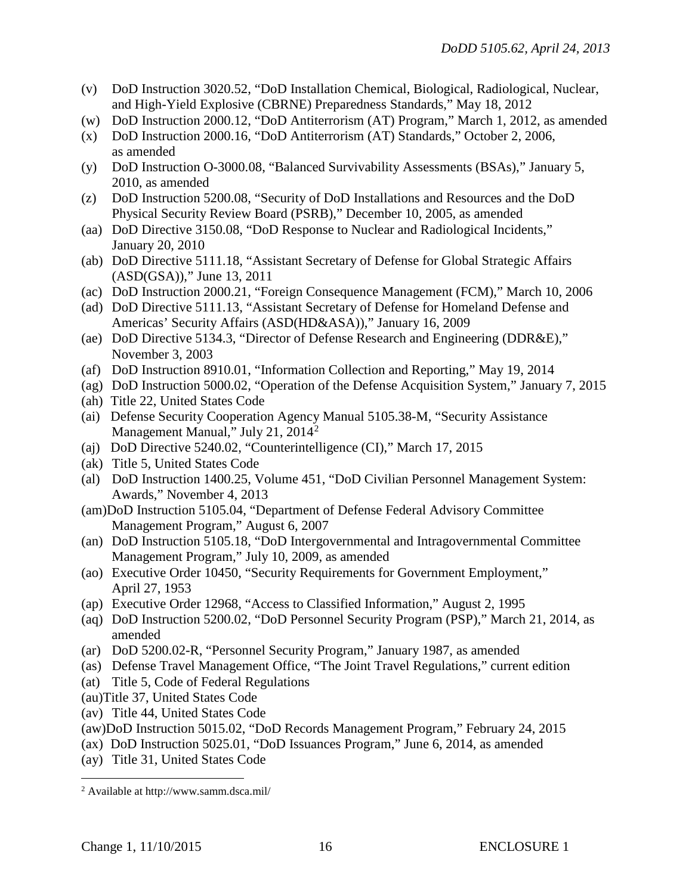- (v) DoD Instruction 3020.52, "DoD Installation Chemical, Biological, Radiological, Nuclear, and High-Yield Explosive (CBRNE) Preparedness Standards," May 18, 2012
- (w) DoD Instruction 2000.12, "DoD Antiterrorism (AT) Program," March 1, 2012, as amended
- (x) DoD Instruction 2000.16, "DoD Antiterrorism (AT) Standards," October 2, 2006, as amended
- (y) DoD Instruction O-3000.08, "Balanced Survivability Assessments (BSAs)," January 5, 2010, as amended
- (z) DoD Instruction 5200.08, "Security of DoD Installations and Resources and the DoD Physical Security Review Board (PSRB)," December 10, 2005, as amended
- (aa) DoD Directive 3150.08, "DoD Response to Nuclear and Radiological Incidents," January 20, 2010
- (ab) DoD Directive 5111.18, "Assistant Secretary of Defense for Global Strategic Affairs (ASD(GSA))," June 13, 2011
- (ac) DoD Instruction 2000.21, "Foreign Consequence Management (FCM)," March 10, 2006
- (ad) DoD Directive 5111.13, "Assistant Secretary of Defense for Homeland Defense and Americas' Security Affairs (ASD(HD&ASA))," January 16, 2009
- (ae) DoD Directive 5134.3, "Director of Defense Research and Engineering (DDR&E)," November 3, 2003
- (af) DoD Instruction 8910.01, "Information Collection and Reporting," May 19, 2014
- (ag) DoD Instruction 5000.02, "Operation of the Defense Acquisition System," January 7, 2015
- (ah) Title 22, United States Code
- (ai) Defense Security Cooperation Agency Manual 5105.38-M, "Security Assistance Management Manual," July [2](#page-15-0)1, 2014<sup>2</sup>
- (aj) DoD Directive 5240.02, "Counterintelligence (CI)," March 17, 2015
- (ak) Title 5, United States Code
- (al) DoD Instruction 1400.25, Volume 451, "DoD Civilian Personnel Management System: Awards," November 4, 2013
- (am)DoD Instruction 5105.04, "Department of Defense Federal Advisory Committee Management Program," August 6, 2007
- (an) DoD Instruction 5105.18, "DoD Intergovernmental and Intragovernmental Committee Management Program," July 10, 2009, as amended
- (ao) Executive Order 10450, "Security Requirements for Government Employment," April 27, 1953
- (ap) Executive Order 12968, "Access to Classified Information," August 2, 1995
- (aq) DoD Instruction 5200.02, "DoD Personnel Security Program (PSP)," March 21, 2014, as amended
- (ar) DoD 5200.02-R, "Personnel Security Program," January 1987, as amended
- (as) Defense Travel Management Office, "The Joint Travel Regulations," current edition
- (at) Title 5, Code of Federal Regulations
- (au)Title 37, United States Code
- (av) Title 44, United States Code
- (aw)DoD Instruction 5015.02, "DoD Records Management Program," February 24, 2015
- (ax) DoD Instruction 5025.01, "DoD Issuances Program," June 6, 2014, as amended
- (ay) Title 31, United States Code

<span id="page-15-0"></span> <sup>2</sup> Available at http://www.samm.dsca.mil/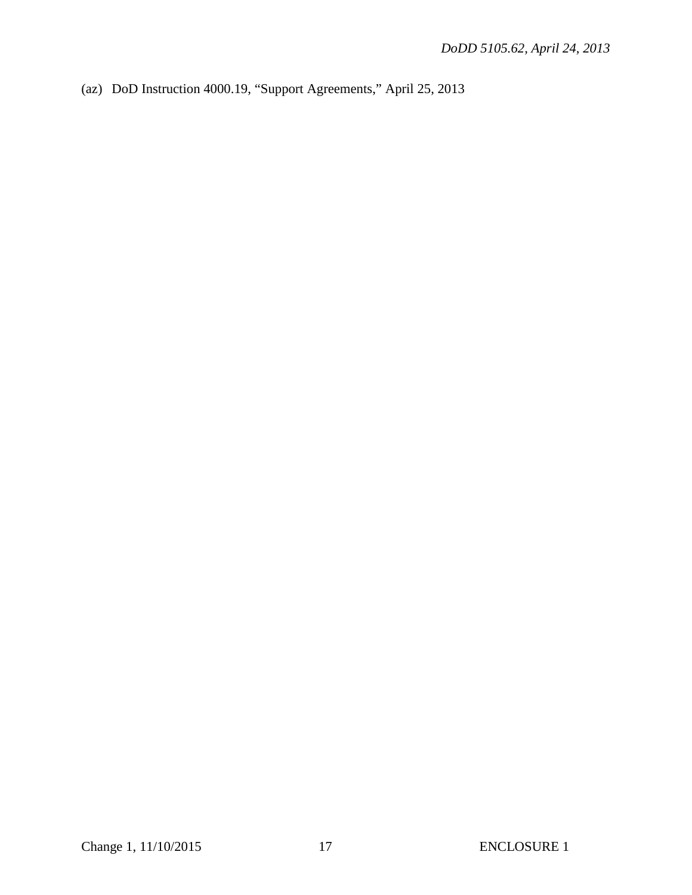(az) DoD Instruction 4000.19, "Support Agreements," April 25, 2013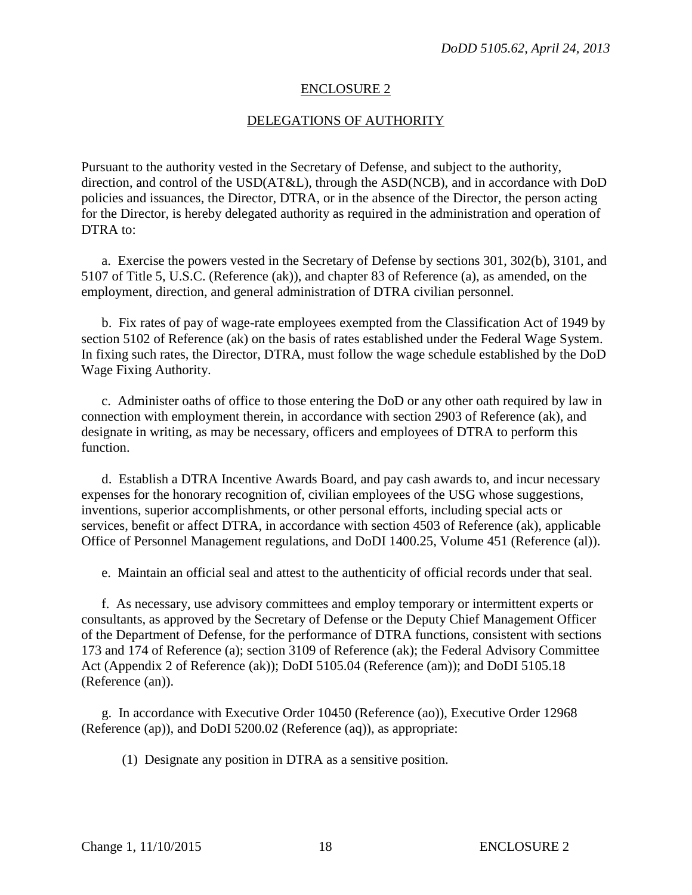#### ENCLOSURE 2

#### DELEGATIONS OF AUTHORITY

Pursuant to the authority vested in the Secretary of Defense, and subject to the authority, direction, and control of the USD(AT&L), through the ASD(NCB), and in accordance with DoD policies and issuances, the Director, DTRA, or in the absence of the Director, the person acting for the Director, is hereby delegated authority as required in the administration and operation of DTRA to:

a. Exercise the powers vested in the Secretary of Defense by sections 301, 302(b), 3101, and 5107 of Title 5, U.S.C. (Reference (ak)), and chapter 83 of Reference (a), as amended, on the employment, direction, and general administration of DTRA civilian personnel.

b. Fix rates of pay of wage-rate employees exempted from the Classification Act of 1949 by section 5102 of Reference (ak) on the basis of rates established under the Federal Wage System. In fixing such rates, the Director, DTRA, must follow the wage schedule established by the DoD Wage Fixing Authority.

c. Administer oaths of office to those entering the DoD or any other oath required by law in connection with employment therein, in accordance with section 2903 of Reference (ak), and designate in writing, as may be necessary, officers and employees of DTRA to perform this function.

d. Establish a DTRA Incentive Awards Board, and pay cash awards to, and incur necessary expenses for the honorary recognition of, civilian employees of the USG whose suggestions, inventions, superior accomplishments, or other personal efforts, including special acts or services, benefit or affect DTRA, in accordance with section 4503 of Reference (ak), applicable Office of Personnel Management regulations, and DoDI 1400.25, Volume 451 (Reference (al)).

e. Maintain an official seal and attest to the authenticity of official records under that seal.

f. As necessary, use advisory committees and employ temporary or intermittent experts or consultants, as approved by the Secretary of Defense or the Deputy Chief Management Officer of the Department of Defense, for the performance of DTRA functions, consistent with sections 173 and 174 of Reference (a); section 3109 of Reference (ak); the Federal Advisory Committee Act (Appendix 2 of Reference (ak)); DoDI 5105.04 (Reference (am)); and DoDI 5105.18 (Reference (an)).

g. In accordance with Executive Order 10450 (Reference (ao)), Executive Order 12968 (Reference (ap)), and DoDI 5200.02 (Reference (aq)), as appropriate:

(1) Designate any position in DTRA as a sensitive position.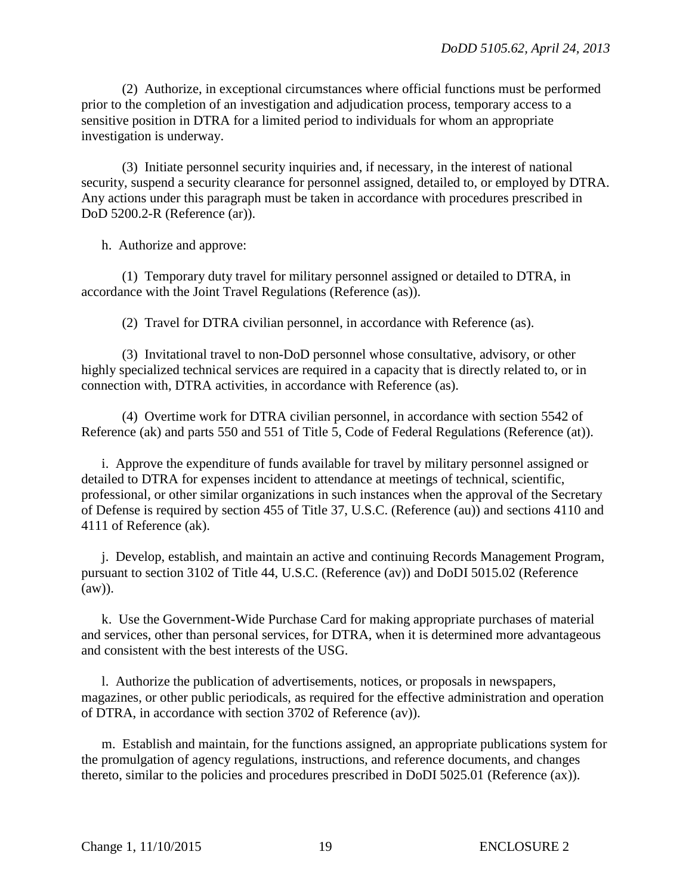(2) Authorize, in exceptional circumstances where official functions must be performed prior to the completion of an investigation and adjudication process, temporary access to a sensitive position in DTRA for a limited period to individuals for whom an appropriate investigation is underway.

(3) Initiate personnel security inquiries and, if necessary, in the interest of national security, suspend a security clearance for personnel assigned, detailed to, or employed by DTRA. Any actions under this paragraph must be taken in accordance with procedures prescribed in DoD 5200.2-R (Reference (ar)).

h. Authorize and approve:

(1) Temporary duty travel for military personnel assigned or detailed to DTRA, in accordance with the Joint Travel Regulations (Reference (as)).

(2) Travel for DTRA civilian personnel, in accordance with Reference (as).

(3) Invitational travel to non-DoD personnel whose consultative, advisory, or other highly specialized technical services are required in a capacity that is directly related to, or in connection with, DTRA activities, in accordance with Reference (as).

(4) Overtime work for DTRA civilian personnel, in accordance with section 5542 of Reference (ak) and parts 550 and 551 of Title 5, Code of Federal Regulations (Reference (at)).

i. Approve the expenditure of funds available for travel by military personnel assigned or detailed to DTRA for expenses incident to attendance at meetings of technical, scientific, professional, or other similar organizations in such instances when the approval of the Secretary of Defense is required by section 455 of Title 37, U.S.C. (Reference (au)) and sections 4110 and 4111 of Reference (ak).

j. Develop, establish, and maintain an active and continuing Records Management Program, pursuant to section 3102 of Title 44, U.S.C. (Reference (av)) and DoDI 5015.02 (Reference (aw)).

k. Use the Government-Wide Purchase Card for making appropriate purchases of material and services, other than personal services, for DTRA, when it is determined more advantageous and consistent with the best interests of the USG.

l. Authorize the publication of advertisements, notices, or proposals in newspapers, magazines, or other public periodicals, as required for the effective administration and operation of DTRA, in accordance with section 3702 of Reference (av)).

m. Establish and maintain, for the functions assigned, an appropriate publications system for the promulgation of agency regulations, instructions, and reference documents, and changes thereto, similar to the policies and procedures prescribed in DoDI 5025.01 (Reference (ax)).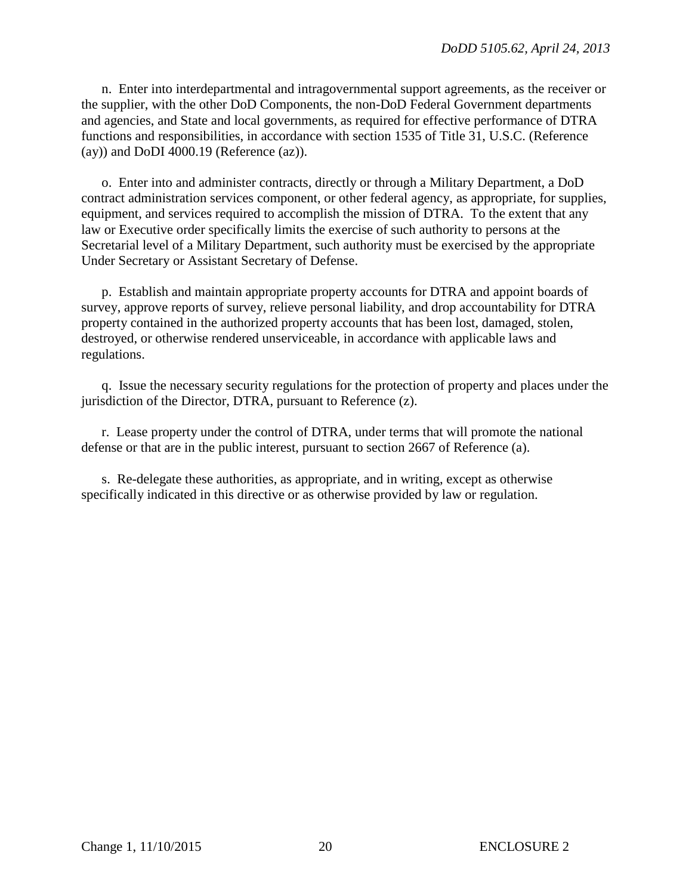n. Enter into interdepartmental and intragovernmental support agreements, as the receiver or the supplier, with the other DoD Components, the non-DoD Federal Government departments and agencies, and State and local governments, as required for effective performance of DTRA functions and responsibilities, in accordance with section 1535 of Title 31, U.S.C. (Reference (ay)) and DoDI 4000.19 (Reference (az)).

 o. Enter into and administer contracts, directly or through a Military Department, a DoD contract administration services component, or other federal agency, as appropriate, for supplies, equipment, and services required to accomplish the mission of DTRA. To the extent that any law or Executive order specifically limits the exercise of such authority to persons at the Secretarial level of a Military Department, such authority must be exercised by the appropriate Under Secretary or Assistant Secretary of Defense.

 p. Establish and maintain appropriate property accounts for DTRA and appoint boards of survey, approve reports of survey, relieve personal liability, and drop accountability for DTRA property contained in the authorized property accounts that has been lost, damaged, stolen, destroyed, or otherwise rendered unserviceable, in accordance with applicable laws and regulations.

 q. Issue the necessary security regulations for the protection of property and places under the jurisdiction of the Director, DTRA, pursuant to Reference (z).

 r. Lease property under the control of DTRA, under terms that will promote the national defense or that are in the public interest, pursuant to section 2667 of Reference (a).

 s. Re-delegate these authorities, as appropriate, and in writing, except as otherwise specifically indicated in this directive or as otherwise provided by law or regulation.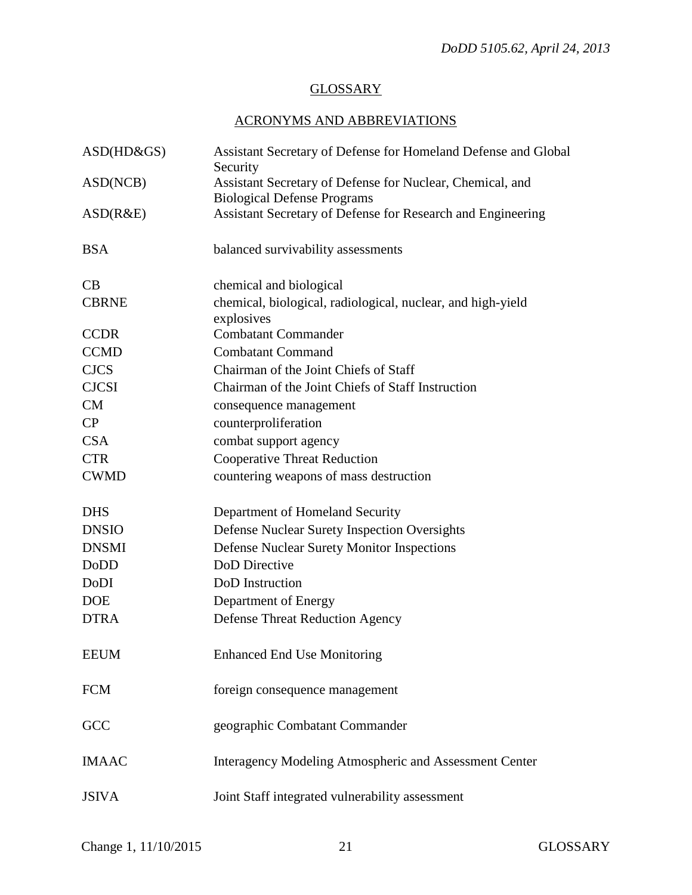## **GLOSSARY**

## ACRONYMS AND ABBREVIATIONS

| $ASD(HD\&GS)$ | Assistant Secretary of Defense for Homeland Defense and Global<br>Security                      |
|---------------|-------------------------------------------------------------------------------------------------|
| ASD(NCB)      | Assistant Secretary of Defense for Nuclear, Chemical, and<br><b>Biological Defense Programs</b> |
| ASD(R&E)      | Assistant Secretary of Defense for Research and Engineering                                     |
| <b>BSA</b>    | balanced survivability assessments                                                              |
| CB            | chemical and biological                                                                         |
| <b>CBRNE</b>  | chemical, biological, radiological, nuclear, and high-yield<br>explosives                       |
| <b>CCDR</b>   | <b>Combatant Commander</b>                                                                      |
| <b>CCMD</b>   | <b>Combatant Command</b>                                                                        |
| <b>CJCS</b>   | Chairman of the Joint Chiefs of Staff                                                           |
| <b>CJCSI</b>  | Chairman of the Joint Chiefs of Staff Instruction                                               |
| CM            | consequence management                                                                          |
| CP            | counterproliferation                                                                            |
| <b>CSA</b>    | combat support agency                                                                           |
| <b>CTR</b>    | <b>Cooperative Threat Reduction</b>                                                             |
| <b>CWMD</b>   | countering weapons of mass destruction                                                          |
| <b>DHS</b>    | Department of Homeland Security                                                                 |
| <b>DNSIO</b>  | Defense Nuclear Surety Inspection Oversights                                                    |
| <b>DNSMI</b>  | <b>Defense Nuclear Surety Monitor Inspections</b>                                               |
| <b>DoDD</b>   | DoD Directive                                                                                   |
| DoDI          | DoD Instruction                                                                                 |
| <b>DOE</b>    | Department of Energy                                                                            |
| <b>DTRA</b>   | <b>Defense Threat Reduction Agency</b>                                                          |
| <b>EEUM</b>   | <b>Enhanced End Use Monitoring</b>                                                              |
| <b>FCM</b>    | foreign consequence management                                                                  |
| GCC           | geographic Combatant Commander                                                                  |
| <b>IMAAC</b>  | <b>Interagency Modeling Atmospheric and Assessment Center</b>                                   |
| <b>JSIVA</b>  | Joint Staff integrated vulnerability assessment                                                 |